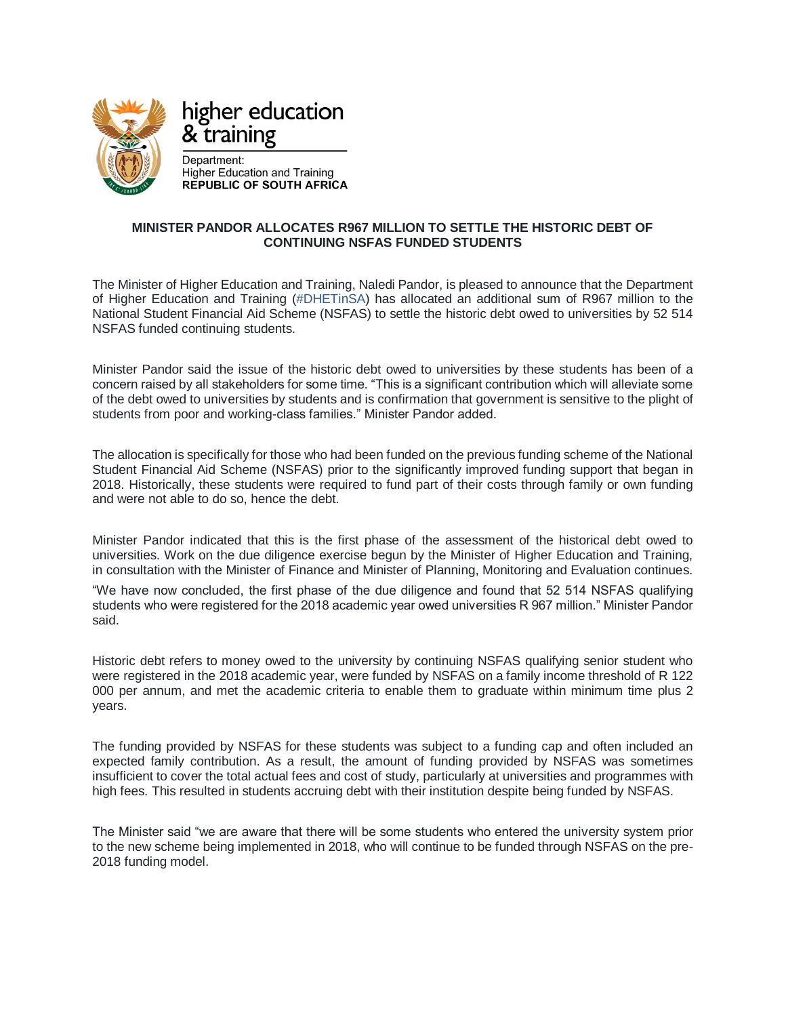

## higher education & training

Department: **Higher Education and Training** REPUBLIC OF SOUTH AFRICA

## **MINISTER PANDOR ALLOCATES R967 MILLION TO SETTLE THE HISTORIC DEBT OF CONTINUING NSFAS FUNDED STUDENTS**

The Minister of Higher Education and Training, Naledi Pandor, is pleased to announce that the Department of Higher Education and Training [\(#DHETinSA\)](https://www.facebook.com/hashtag/dhetinsa?source=feed_text&epa=HASHTAG) has allocated an additional sum of R967 million to the National Student Financial Aid Scheme (NSFAS) to settle the historic debt owed to universities by 52 514 NSFAS funded continuing students.

Minister Pandor said the issue of the historic debt owed to universities by these students has been of a concern raised by all stakeholders for some time. "This is a significant contribution which will alleviate some of the debt owed to universities by students and is confirmation that government is sensitive to the plight of students from poor and working-class families." Minister Pandor added.

The allocation is specifically for those who had been funded on the previous funding scheme of the National Student Financial Aid Scheme (NSFAS) prior to the significantly improved funding support that began in 2018. Historically, these students were required to fund part of their costs through family or own funding and were not able to do so, hence the debt.

Minister Pandor indicated that this is the first phase of the assessment of the historical debt owed to universities. Work on the due diligence exercise begun by the Minister of Higher Education and Training, in consultation with the Minister of Finance and Minister of Planning, Monitoring and Evaluation continues.

"We have now concluded, the first phase of the due diligence and found that 52 514 NSFAS qualifying students who were registered for the 2018 academic year owed universities R 967 million." Minister Pandor said.

Historic debt refers to money owed to the university by continuing NSFAS qualifying senior student who were registered in the 2018 academic year, were funded by NSFAS on a family income threshold of R 122 000 per annum, and met the academic criteria to enable them to graduate within minimum time plus 2 years.

The funding provided by NSFAS for these students was subject to a funding cap and often included an expected family contribution. As a result, the amount of funding provided by NSFAS was sometimes insufficient to cover the total actual fees and cost of study, particularly at universities and programmes with high fees. This resulted in students accruing debt with their institution despite being funded by NSFAS.

The Minister said "we are aware that there will be some students who entered the university system prior to the new scheme being implemented in 2018, who will continue to be funded through NSFAS on the pre-2018 funding model.